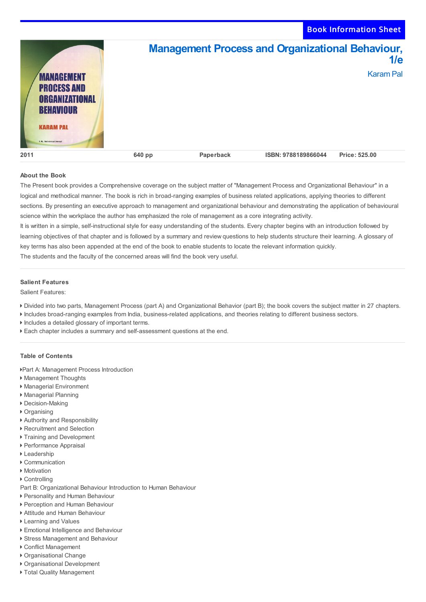Book Information Sheet



## **About the Book**

The Present book provides a Comprehensive coverage on the subject matter of "Management Process and Organizational Behaviour" in a logical and methodical manner. The book is rich in broad-ranging examples of business related applications, applying theories to different sections. By presenting an executive approach to management and organizational behaviour and demonstrating the application of behavioural science within the workplace the author has emphasized the role of management as a core integrating activity.

It is written in a simple, self-instructional style for easy understanding of the students. Every chapter begins with an introduction followed by learning objectives of that chapter and is followed by a summary and review questions to help students structure their learning. A glossary of key terms has also been appended at the end of the book to enable students to locate the relevant information quickly.

The students and the faculty of the concerned areas will find the book very useful.

## **Salient Features**

Salient Features:

- Divided into two parts, Management Process (part A) and Organizational Behavior (part B); the book covers the subject matter in 27 chapters.
- Includes broad-ranging examples from India, business-related applications, and theories relating to different business sectors.
- Includes a detailed glossary of important terms.
- Each chapter includes a summary and self-assessment questions at the end.

## **Table of Contents**

Part A: Management Process Introduction

- Management Thoughts
- Managerial Environment
- Managerial Planning
- Decision-Making
- ▶ Organising
- Authority and Responsibility
- Recruitment and Selection
- ▶ Training and Development
- Performance Appraisal
- ▶ Leadership
- Communication
- ▶ Motivation
- ▶ Controlling

Part B: Organizational Behaviour Introduction to Human Behaviour

- Personality and Human Behaviour
- Perception and Human Behaviour
- Attitude and Human Behaviour
- Learning and Values
- ▶ Emotional Intelligence and Behaviour
- ▶ Stress Management and Behaviour
- Conflict Management
- Organisational Change
- Organisational Development
- ▶ Total Quality Management